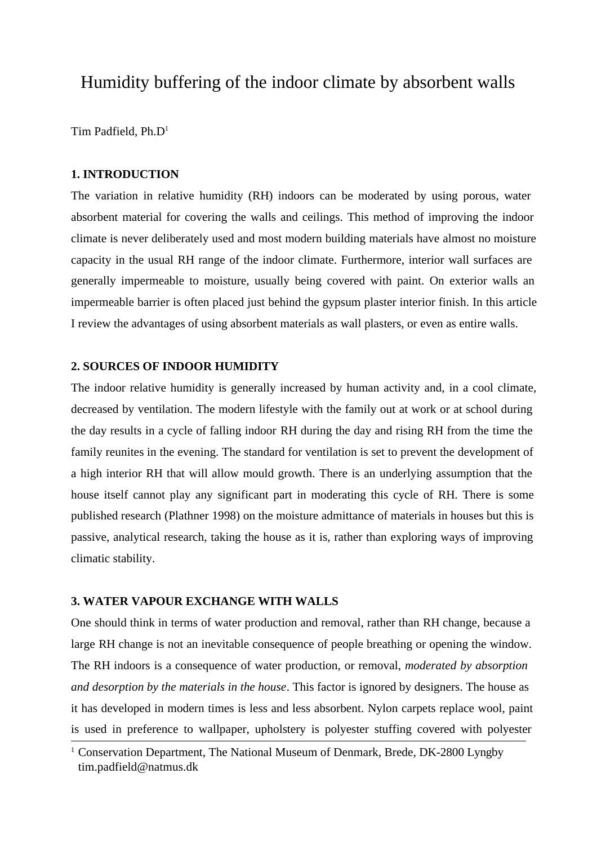# Humidity buffering of the indoor climate by absorbent walls

Tim Padfield, Ph.D<sup>1</sup>

# **1. INTRODUCTION**

The variation in relative humidity (RH) indoors can be moderated by using porous, water absorbent material for covering the walls and ceilings. This method of improving the indoor climate is never deliberately used and most modern building materials have almost no moisture capacity in the usual RH range of the indoor climate. Furthermore, interior wall surfaces are generally impermeable to moisture, usually being covered with paint. On exterior walls an impermeable barrier is often placed just behind the gypsum plaster interior finish. In this article I review the advantages of using absorbent materials as wall plasters, or even as entire walls.

#### **2. SOURCES OF INDOOR HUMIDITY**

The indoor relative humidity is generally increased by human activity and, in a cool climate, decreased by ventilation. The modern lifestyle with the family out at work or at school during the day results in a cycle of falling indoor RH during the day and rising RH from the time the family reunites in the evening. The standard for ventilation is set to prevent the development of a high interior RH that will allow mould growth. There is an underlying assumption that the house itself cannot play any significant part in moderating this cycle of RH. There is some published research (Plathner 1998) on the moisture admittance of materials in houses but this is passive, analytical research, taking the house as it is, rather than exploring ways of improving climatic stability.

# **3. WATER VAPOUR EXCHANGE WITH WALLS**

One should think in terms of water production and removal, rather than RH change, because a large RH change is not an inevitable consequence of people breathing or opening the window. The RH indoors is a consequence of water production, or removal, *moderated by absorption and desorption by the materials in the house*. This factor is ignored by designers. The house as it has developed in modern times is less and less absorbent. Nylon carpets replace wool, paint is used in preference to wallpaper, upholstery is polyester stuffing covered with polyester

<sup>&</sup>lt;sup>1</sup> Conservation Department, The National Museum of Denmark, Brede, DK-2800 Lyngby tim.padfield@natmus.dk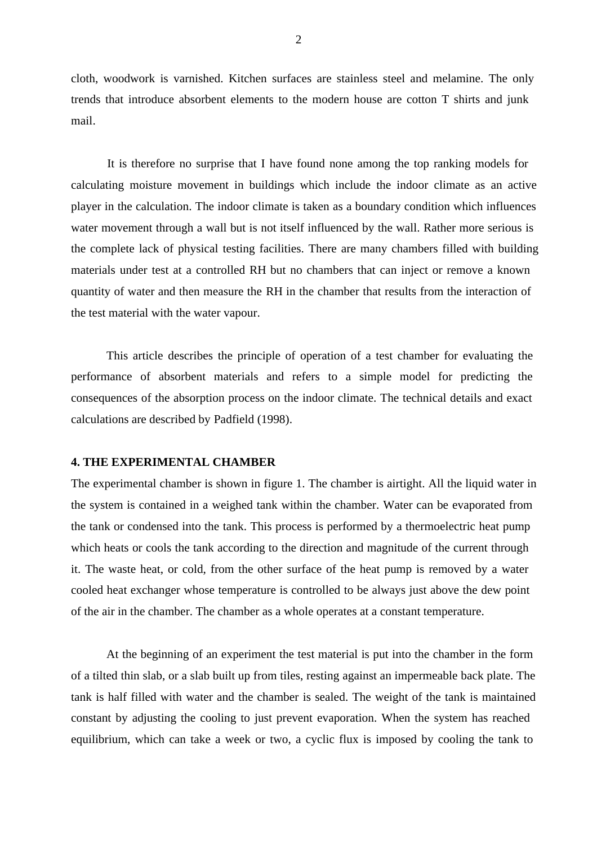cloth, woodwork is varnished. Kitchen surfaces are stainless steel and melamine. The only trends that introduce absorbent elements to the modern house are cotton T shirts and junk mail.

It is therefore no surprise that I have found none among the top ranking models for calculating moisture movement in buildings which include the indoor climate as an active player in the calculation. The indoor climate is taken as a boundary condition which influences water movement through a wall but is not itself influenced by the wall. Rather more serious is the complete lack of physical testing facilities. There are many chambers filled with building materials under test at a controlled RH but no chambers that can inject or remove a known quantity of water and then measure the RH in the chamber that results from the interaction of the test material with the water vapour.

This article describes the principle of operation of a test chamber for evaluating the performance of absorbent materials and refers to a simple model for predicting the consequences of the absorption process on the indoor climate. The technical details and exact calculations are described by Padfield (1998).

#### **4. THE EXPERIMENTAL CHAMBER**

The experimental chamber is shown in figure 1. The chamber is airtight. All the liquid water in the system is contained in a weighed tank within the chamber. Water can be evaporated from the tank or condensed into the tank. This process is performed by a thermoelectric heat pump which heats or cools the tank according to the direction and magnitude of the current through it. The waste heat, or cold, from the other surface of the heat pump is removed by a water cooled heat exchanger whose temperature is controlled to be always just above the dew point of the air in the chamber. The chamber as a whole operates at a constant temperature.

At the beginning of an experiment the test material is put into the chamber in the form of a tilted thin slab, or a slab built up from tiles, resting against an impermeable back plate. The tank is half filled with water and the chamber is sealed. The weight of the tank is maintained constant by adjusting the cooling to just prevent evaporation. When the system has reached equilibrium, which can take a week or two, a cyclic flux is imposed by cooling the tank to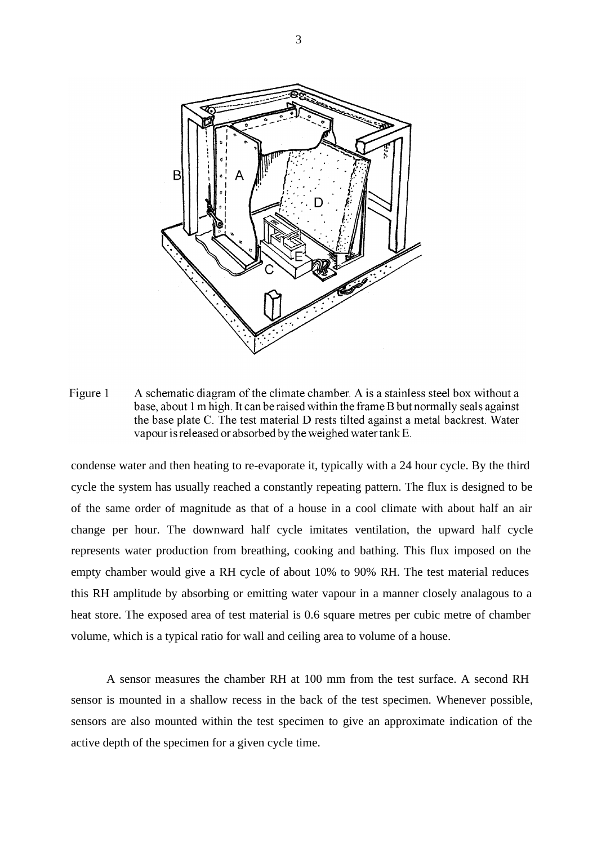

Figure 1 A schematic diagram of the climate chamber. A is a stainless steel box without a base, about 1 m high. It can be raised within the frame B but normally seals against the base plate C. The test material D rests tilted against a metal backrest. Water vapour is released or absorbed by the weighed water tank E.

condense water and then heating to re-evaporate it, typically with a 24 hour cycle. By the third cycle the system has usually reached a constantly repeating pattern. The flux is designed to be of the same order of magnitude as that of a house in a cool climate with about half an air change per hour. The downward half cycle imitates ventilation, the upward half cycle represents water production from breathing, cooking and bathing. This flux imposed on the empty chamber would give a RH cycle of about 10% to 90% RH. The test material reduces this RH amplitude by absorbing or emitting water vapour in a manner closely analagous to a heat store. The exposed area of test material is 0.6 square metres per cubic metre of chamber volume, which is a typical ratio for wall and ceiling area to volume of a house.

A sensor measures the chamber RH at 100 mm from the test surface. A second RH sensor is mounted in a shallow recess in the back of the test specimen. Whenever possible, sensors are also mounted within the test specimen to give an approximate indication of the active depth of the specimen for a given cycle time.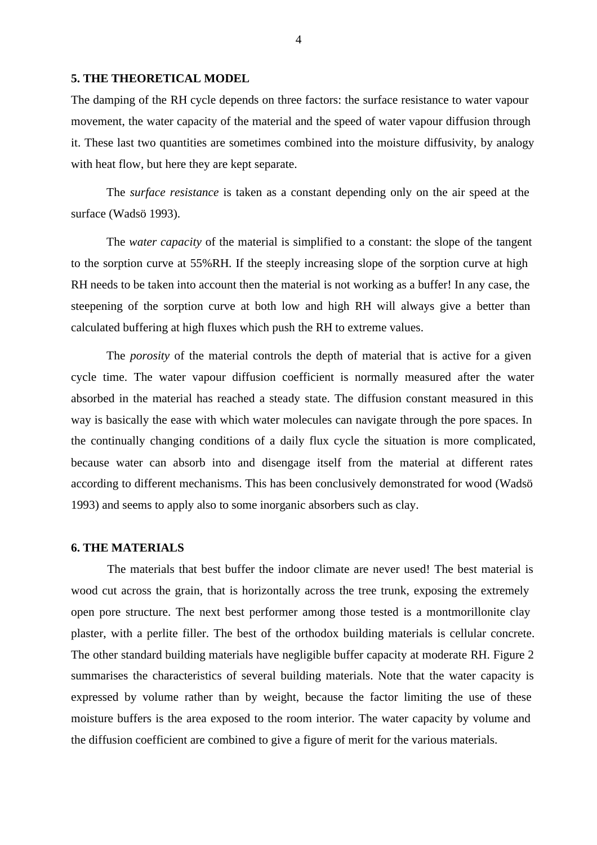#### **5. THE THEORETICAL MODEL**

The damping of the RH cycle depends on three factors: the surface resistance to water vapour movement, the water capacity of the material and the speed of water vapour diffusion through it. These last two quantities are sometimes combined into the moisture diffusivity, by analogy with heat flow, but here they are kept separate.

The *surface resistance* is taken as a constant depending only on the air speed at the surface (Wadsö 1993).

The *water capacity* of the material is simplified to a constant: the slope of the tangent to the sorption curve at 55%RH. If the steeply increasing slope of the sorption curve at high RH needs to be taken into account then the material is not working as a buffer! In any case, the steepening of the sorption curve at both low and high RH will always give a better than calculated buffering at high fluxes which push the RH to extreme values.

The *porosity* of the material controls the depth of material that is active for a given cycle time. The water vapour diffusion coefficient is normally measured after the water absorbed in the material has reached a steady state. The diffusion constant measured in this way is basically the ease with which water molecules can navigate through the pore spaces. In the continually changing conditions of a daily flux cycle the situation is more complicated, because water can absorb into and disengage itself from the material at different rates according to different mechanisms. This has been conclusively demonstrated for wood (Wadsö 1993) and seems to apply also to some inorganic absorbers such as clay.

## **6. THE MATERIALS**

The materials that best buffer the indoor climate are never used! The best material is wood cut across the grain, that is horizontally across the tree trunk, exposing the extremely open pore structure. The next best performer among those tested is a montmorillonite clay plaster, with a perlite filler. The best of the orthodox building materials is cellular concrete. The other standard building materials have negligible buffer capacity at moderate RH. Figure 2 summarises the characteristics of several building materials. Note that the water capacity is expressed by volume rather than by weight, because the factor limiting the use of these moisture buffers is the area exposed to the room interior. The water capacity by volume and the diffusion coefficient are combined to give a figure of merit for the various materials.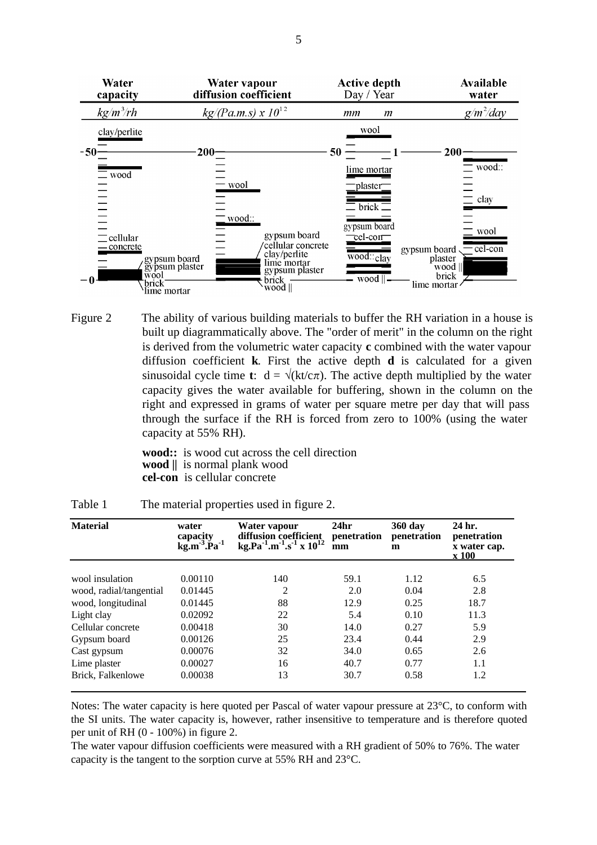| Water<br>capacity                                                                            | Water vapour<br>diffusion coefficient                                                                                  | <b>Active depth</b><br>Day / Year                | Available<br>water                                                        |
|----------------------------------------------------------------------------------------------|------------------------------------------------------------------------------------------------------------------------|--------------------------------------------------|---------------------------------------------------------------------------|
| $kg/m^3/rh$                                                                                  | $kg/(\text{Pa.m.s}) \times 10^{12}$                                                                                    | mm<br>$\mathfrak{m}$                             | $g/m^2$ /day                                                              |
| clay/perlite                                                                                 |                                                                                                                        | wool                                             |                                                                           |
| $-50-$                                                                                       | $200 -$                                                                                                                | 50                                               | 200                                                                       |
| $\equiv$ wood                                                                                |                                                                                                                        | lime mortar                                      | wood::                                                                    |
|                                                                                              | - wool                                                                                                                 | plaster                                          |                                                                           |
|                                                                                              |                                                                                                                        | $\equiv$ brick $\equiv$                          | $\equiv$ clay                                                             |
|                                                                                              | _wood∷                                                                                                                 | gypsum board                                     | wool                                                                      |
| $\equiv$ cellular<br>- concrete<br>gypsum board<br>wool<br>brick <sup>-</sup><br>lime mortar | gypsum board<br>'cellular concrete<br>clay/perlite<br>lime mortar<br>gypsum plaster<br>gypsum plaster<br>brick<br>wood | $rel-corr$<br>$\overline{wood::_{clay}}$<br>wood | - cel-con<br>gypsum board.<br>plaster<br>wood    <br>brick<br>lime mortar |

Figure 2 The ability of various building materials to buffer the RH variation in a house is built up diagrammatically above. The "order of merit" in the column on the right is derived from the volumetric water capacity **c** combined with the water vapour diffusion coefficient **k**. First the active depth **d** is calculated for a given sinusoidal cycle time **t**:  $d = \sqrt{k t/c \pi}$ . The active depth multiplied by the water capacity gives the water available for buffering, shown in the column on the right and expressed in grams of water per square metre per day that will pass through the surface if the RH is forced from zero to 100% (using the water capacity at 55% RH).

> **wood::** is wood cut across the cell direction **wood ||** is normal plank wood **cel-con** is cellular concrete

| <b>Material</b>         | water<br>capacity<br>$\mathbf{kg}.\mathbf{m}^{-3}.\mathbf{\tilde{P}}\mathbf{a}^{-1}$ | Water vapour<br>diffusion coefficient<br>kg.Pa <sup>-1</sup> .m <sup>-1</sup> .s <sup>-1</sup> x $10^{12}$ | 24 <sub>hr</sub><br>penetration<br>mm | 360 day<br>penetration<br>m | 24 hr.<br>penetration<br>x water cap.<br>x 100 |
|-------------------------|--------------------------------------------------------------------------------------|------------------------------------------------------------------------------------------------------------|---------------------------------------|-----------------------------|------------------------------------------------|
|                         |                                                                                      |                                                                                                            |                                       |                             |                                                |
| wool insulation         | 0.00110                                                                              | 140                                                                                                        | 59.1                                  | 1.12                        | 6.5                                            |
| wood, radial/tangential | 0.01445                                                                              | $\overline{2}$                                                                                             | 2.0                                   | 0.04                        | 2.8                                            |
| wood, longitudinal      | 0.01445                                                                              | 88                                                                                                         | 12.9                                  | 0.25                        | 18.7                                           |
| Light clay              | 0.02092                                                                              | 22                                                                                                         | 5.4                                   | 0.10                        | 11.3                                           |
| Cellular concrete       | 0.00418                                                                              | 30                                                                                                         | 14.0                                  | 0.27                        | 5.9                                            |
| Gypsum board            | 0.00126                                                                              | 25                                                                                                         | 23.4                                  | 0.44                        | 2.9                                            |
| Cast gypsum             | 0.00076                                                                              | 32                                                                                                         | 34.0                                  | 0.65                        | 2.6                                            |
| Lime plaster            | 0.00027                                                                              | 16                                                                                                         | 40.7                                  | 0.77                        | 1.1                                            |
| Brick, Falkenlowe       | 0.00038                                                                              | 13                                                                                                         | 30.7                                  | 0.58                        | 1.2                                            |

Table 1 The material properties used in figure 2.

Notes: The water capacity is here quoted per Pascal of water vapour pressure at 23°C, to conform with the SI units. The water capacity is, however, rather insensitive to temperature and is therefore quoted per unit of RH (0 - 100%) in figure 2.

The water vapour diffusion coefficients were measured with a RH gradient of 50% to 76%. The water capacity is the tangent to the sorption curve at 55% RH and 23°C.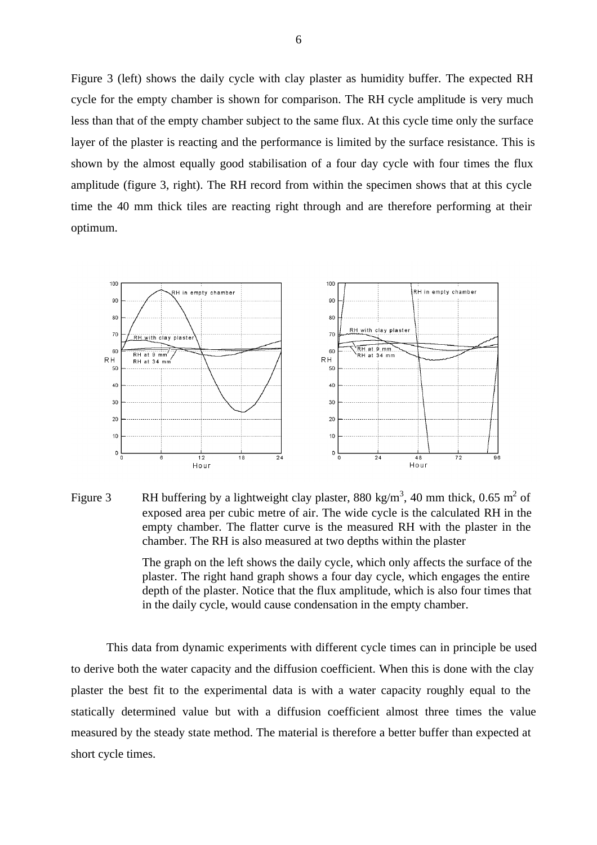Figure 3 (left) shows the daily cycle with clay plaster as humidity buffer. The expected RH cycle for the empty chamber is shown for comparison. The RH cycle amplitude is very much less than that of the empty chamber subject to the same flux. At this cycle time only the surface layer of the plaster is reacting and the performance is limited by the surface resistance. This is shown by the almost equally good stabilisation of a four day cycle with four times the flux amplitude (figure 3, right). The RH record from within the specimen shows that at this cycle time the 40 mm thick tiles are reacting right through and are therefore performing at their optimum.



Figure 3 RH buffering by a lightweight clay plaster, 880 kg/m<sup>3</sup>, 40 mm thick, 0.65 m<sup>2</sup> of exposed area per cubic metre of air. The wide cycle is the calculated RH in the empty chamber. The flatter curve is the measured RH with the plaster in the chamber. The RH is also measured at two depths within the plaster

The graph on the left shows the daily cycle, which only affects the surface of the plaster. The right hand graph shows a four day cycle, which engages the entire depth of the plaster. Notice that the flux amplitude, which is also four times that in the daily cycle, would cause condensation in the empty chamber.

This data from dynamic experiments with different cycle times can in principle be used to derive both the water capacity and the diffusion coefficient. When this is done with the clay plaster the best fit to the experimental data is with a water capacity roughly equal to the statically determined value but with a diffusion coefficient almost three times the value measured by the steady state method. The material is therefore a better buffer than expected at short cycle times.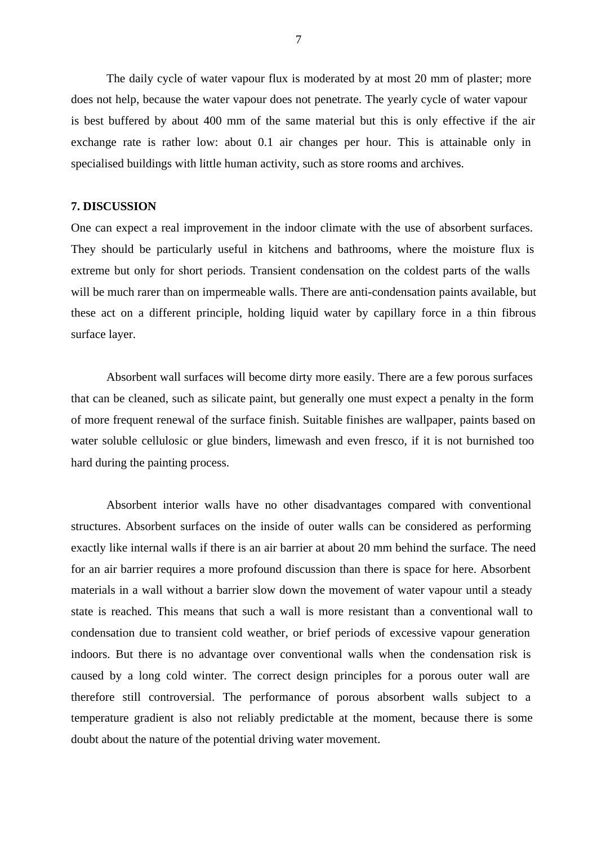The daily cycle of water vapour flux is moderated by at most 20 mm of plaster; more does not help, because the water vapour does not penetrate. The yearly cycle of water vapour is best buffered by about 400 mm of the same material but this is only effective if the air exchange rate is rather low: about 0.1 air changes per hour. This is attainable only in specialised buildings with little human activity, such as store rooms and archives.

## **7. DISCUSSION**

One can expect a real improvement in the indoor climate with the use of absorbent surfaces. They should be particularly useful in kitchens and bathrooms, where the moisture flux is extreme but only for short periods. Transient condensation on the coldest parts of the walls will be much rarer than on impermeable walls. There are anti-condensation paints available, but these act on a different principle, holding liquid water by capillary force in a thin fibrous surface layer.

Absorbent wall surfaces will become dirty more easily. There are a few porous surfaces that can be cleaned, such as silicate paint, but generally one must expect a penalty in the form of more frequent renewal of the surface finish. Suitable finishes are wallpaper, paints based on water soluble cellulosic or glue binders, limewash and even fresco, if it is not burnished too hard during the painting process.

Absorbent interior walls have no other disadvantages compared with conventional structures. Absorbent surfaces on the inside of outer walls can be considered as performing exactly like internal walls if there is an air barrier at about 20 mm behind the surface. The need for an air barrier requires a more profound discussion than there is space for here. Absorbent materials in a wall without a barrier slow down the movement of water vapour until a steady state is reached. This means that such a wall is more resistant than a conventional wall to condensation due to transient cold weather, or brief periods of excessive vapour generation indoors. But there is no advantage over conventional walls when the condensation risk is caused by a long cold winter. The correct design principles for a porous outer wall are therefore still controversial. The performance of porous absorbent walls subject to a temperature gradient is also not reliably predictable at the moment, because there is some doubt about the nature of the potential driving water movement.